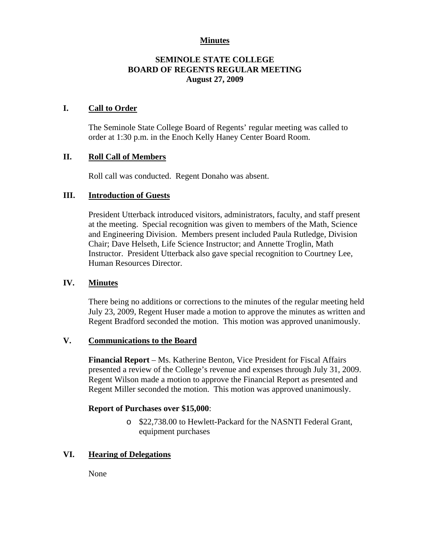# **Minutes**

# **SEMINOLE STATE COLLEGE BOARD OF REGENTS REGULAR MEETING August 27, 2009**

# **I. Call to Order**

The Seminole State College Board of Regents' regular meeting was called to order at 1:30 p.m. in the Enoch Kelly Haney Center Board Room.

# **II. Roll Call of Members**

Roll call was conducted. Regent Donaho was absent.

# **III. Introduction of Guests**

President Utterback introduced visitors, administrators, faculty, and staff present at the meeting. Special recognition was given to members of the Math, Science and Engineering Division. Members present included Paula Rutledge, Division Chair; Dave Helseth, Life Science Instructor; and Annette Troglin, Math Instructor. President Utterback also gave special recognition to Courtney Lee, Human Resources Director.

### **IV. Minutes**

There being no additions or corrections to the minutes of the regular meeting held July 23, 2009, Regent Huser made a motion to approve the minutes as written and Regent Bradford seconded the motion. This motion was approved unanimously.

#### **V. Communications to the Board**

**Financial Report** – Ms. Katherine Benton, Vice President for Fiscal Affairs presented a review of the College's revenue and expenses through July 31, 2009. Regent Wilson made a motion to approve the Financial Report as presented and Regent Miller seconded the motion. This motion was approved unanimously.

#### **Report of Purchases over \$15,000**:

o \$22,738.00 to Hewlett-Packard for the NASNTI Federal Grant, equipment purchases

# **VI. Hearing of Delegations**

None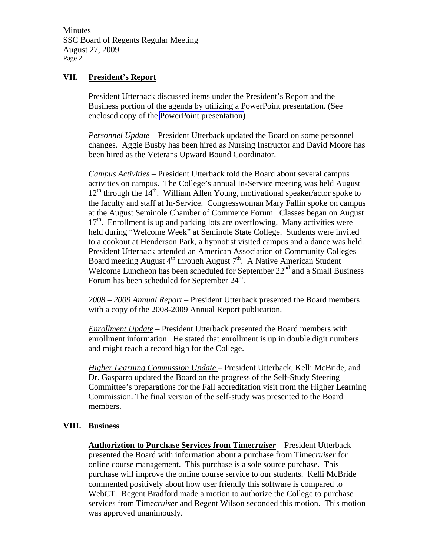Minutes SSC Board of Regents Regular Meeting August 27, 2009 Page 2

### **VII. President's Report**

President Utterback discussed items under the President's Report and the Business portion of the agenda by utilizing a PowerPoint presentation. (See enclosed copy of the PowerPoint presentation)

*Personnel Update* – President Utterback updated the Board on some personnel changes. Aggie Busby has been hired as Nursing Instructor and David Moore has been hired as the Veterans Upward Bound Coordinator.

*Campus Activities* – President Utterback told the Board about several campus activities on campus. The College's annual In-Service meeting was held August  $12<sup>th</sup>$  through the 14<sup>th</sup>. William Allen Young, motivational speaker/actor spoke to the faculty and staff at In-Service. Congresswoman Mary Fallin spoke on campus at the August Seminole Chamber of Commerce Forum. Classes began on August  $17<sup>th</sup>$ . Enrollment is up and parking lots are overflowing. Many activities were held during "Welcome Week" at Seminole State College. Students were invited to a cookout at Henderson Park, a hypnotist visited campus and a dance was held. President Utterback attended an American Association of Community Colleges Board meeting August  $4<sup>th</sup>$  through August  $7<sup>th</sup>$ . A Native American Student Welcome Luncheon has been scheduled for September  $22<sup>nd</sup>$  and a Small Business Forum has been scheduled for September  $24^{\text{th}}$ .

*2008 – 2009 Annual Report* – President Utterback presented the Board members with a copy of the 2008-2009 Annual Report publication.

*Enrollment Update* – President Utterback presented the Board members with enrollment information. He stated that enrollment is up in double digit numbers and might reach a record high for the College.

*Higher Learning Commission Update* – President Utterback, Kelli McBride, and Dr. Gasparro updated the Board on the progress of the Self-Study Steering Committee's preparations for the Fall accreditation visit from the Higher Learning Commission. The final version of the self-study was presented to the Board members.

# **VIII. Business**

**Authoriztion to Purchase Services from Time***cruiser* – President Utterback presented the Board with information about a purchase from Time*cruiser* for online course management. This purchase is a sole source purchase. This purchase will improve the online course service to our students. Kelli McBride commented positively about how user friendly this software is compared to WebCT. Regent Bradford made a motion to authorize the College to purchase services from Time*cruiser* and Regent Wilson seconded this motion. This motion was approved unanimously.